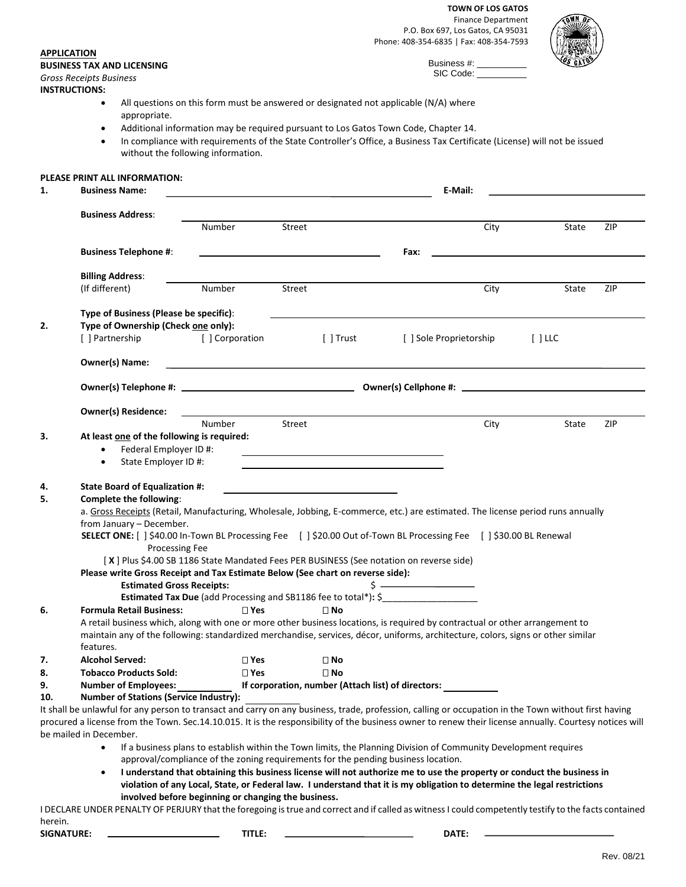**TOWN OF LOS GATOS** Finance Department P.O. Box 697, Los Gatos, CA 95031 Phone: 408-354-6835 | Fax: 408-354-7593

> Business #: SIC Code:



**BUSINESS TAX AND LICENSING** *Gross Receipts Business*

**INSTRUCTIONS:** 

**APPLICATION**

- All questions on this form must be answered or designated not applicable (N/A) where appropriate.
- Additional information may be required pursuant to Los Gatos Town Code, Chapter 14.
- In compliance with requirements of the State Controller's Office, a Business Tax Certificate (License) will not be issued without the following information.

## **PLEASE PRINT ALL INFORMATION:**

| 1.  | <b>Business Name:</b>                                                                                                                                                                                                                                            | E-Mail:                                                                           |        |                                                    |                                                                                                                                                                                                                                                                                                                     |      |                       |     |  |  |
|-----|------------------------------------------------------------------------------------------------------------------------------------------------------------------------------------------------------------------------------------------------------------------|-----------------------------------------------------------------------------------|--------|----------------------------------------------------|---------------------------------------------------------------------------------------------------------------------------------------------------------------------------------------------------------------------------------------------------------------------------------------------------------------------|------|-----------------------|-----|--|--|
|     | <b>Business Address:</b>                                                                                                                                                                                                                                         |                                                                                   |        |                                                    |                                                                                                                                                                                                                                                                                                                     |      |                       |     |  |  |
|     |                                                                                                                                                                                                                                                                  | Number                                                                            | Street |                                                    |                                                                                                                                                                                                                                                                                                                     | City | State                 | ZIP |  |  |
|     | <b>Business Telephone #:</b>                                                                                                                                                                                                                                     |                                                                                   |        |                                                    | Fax:                                                                                                                                                                                                                                                                                                                |      |                       |     |  |  |
|     | <b>Billing Address:</b>                                                                                                                                                                                                                                          |                                                                                   |        |                                                    |                                                                                                                                                                                                                                                                                                                     |      |                       |     |  |  |
|     | (If different)                                                                                                                                                                                                                                                   | Number                                                                            | Street |                                                    |                                                                                                                                                                                                                                                                                                                     | City | State                 | ZIP |  |  |
|     | Type of Business (Please be specific):                                                                                                                                                                                                                           |                                                                                   |        |                                                    |                                                                                                                                                                                                                                                                                                                     |      |                       |     |  |  |
| 2.  | Type of Ownership (Check one only):                                                                                                                                                                                                                              |                                                                                   |        |                                                    |                                                                                                                                                                                                                                                                                                                     |      |                       |     |  |  |
|     | [ ] Partnership                                                                                                                                                                                                                                                  | [ ] Corporation                                                                   |        | [ ] Trust                                          | [ ] Sole Proprietorship                                                                                                                                                                                                                                                                                             |      | $\lceil$ $\lceil$ LLC |     |  |  |
|     | Owner(s) Name:                                                                                                                                                                                                                                                   |                                                                                   |        |                                                    |                                                                                                                                                                                                                                                                                                                     |      |                       |     |  |  |
|     |                                                                                                                                                                                                                                                                  |                                                                                   |        |                                                    |                                                                                                                                                                                                                                                                                                                     |      |                       |     |  |  |
|     | <b>Owner(s) Residence:</b>                                                                                                                                                                                                                                       |                                                                                   |        |                                                    |                                                                                                                                                                                                                                                                                                                     |      |                       |     |  |  |
|     |                                                                                                                                                                                                                                                                  | Number                                                                            | Street |                                                    |                                                                                                                                                                                                                                                                                                                     | City | State                 | ZIP |  |  |
| 3.  | At least one of the following is required:                                                                                                                                                                                                                       |                                                                                   |        |                                                    |                                                                                                                                                                                                                                                                                                                     |      |                       |     |  |  |
|     | Federal Employer ID #:<br>$\bullet$                                                                                                                                                                                                                              |                                                                                   |        |                                                    | <u> 1989 - Johann Stoff, Amerikaansk politiker († 1908)</u>                                                                                                                                                                                                                                                         |      |                       |     |  |  |
|     | State Employer ID #:<br>$\bullet$                                                                                                                                                                                                                                |                                                                                   |        |                                                    |                                                                                                                                                                                                                                                                                                                     |      |                       |     |  |  |
| 4.  | State Board of Equalization #:                                                                                                                                                                                                                                   |                                                                                   |        |                                                    |                                                                                                                                                                                                                                                                                                                     |      |                       |     |  |  |
| 5.  | Complete the following:                                                                                                                                                                                                                                          |                                                                                   |        |                                                    |                                                                                                                                                                                                                                                                                                                     |      |                       |     |  |  |
|     | a. Gross Receipts (Retail, Manufacturing, Wholesale, Jobbing, E-commerce, etc.) are estimated. The license period runs annually                                                                                                                                  |                                                                                   |        |                                                    |                                                                                                                                                                                                                                                                                                                     |      |                       |     |  |  |
|     | from January - December.                                                                                                                                                                                                                                         |                                                                                   |        |                                                    |                                                                                                                                                                                                                                                                                                                     |      |                       |     |  |  |
|     | SELECT ONE: [ ] \$40.00 In-Town BL Processing Fee [ ] \$20.00 Out of-Town BL Processing Fee [ ] \$30.00 BL Renewal<br>Processing Fee                                                                                                                             |                                                                                   |        |                                                    |                                                                                                                                                                                                                                                                                                                     |      |                       |     |  |  |
|     |                                                                                                                                                                                                                                                                  |                                                                                   |        |                                                    | [X] Plus \$4.00 SB 1186 State Mandated Fees PER BUSINESS (See notation on reverse side)                                                                                                                                                                                                                             |      |                       |     |  |  |
|     | Please write Gross Receipt and Tax Estimate Below (See chart on reverse side):                                                                                                                                                                                   |                                                                                   |        |                                                    |                                                                                                                                                                                                                                                                                                                     |      |                       |     |  |  |
|     | <b>Estimated Gross Receipts:</b>                                                                                                                                                                                                                                 |                                                                                   |        |                                                    | $\frac{1}{2}$ $\frac{1}{2}$ $\frac{1}{2}$ $\frac{1}{2}$ $\frac{1}{2}$ $\frac{1}{2}$ $\frac{1}{2}$ $\frac{1}{2}$ $\frac{1}{2}$ $\frac{1}{2}$ $\frac{1}{2}$ $\frac{1}{2}$ $\frac{1}{2}$ $\frac{1}{2}$ $\frac{1}{2}$ $\frac{1}{2}$ $\frac{1}{2}$ $\frac{1}{2}$ $\frac{1}{2}$ $\frac{1}{2}$ $\frac{1}{2}$ $\frac{1}{2}$ |      |                       |     |  |  |
|     |                                                                                                                                                                                                                                                                  |                                                                                   |        |                                                    | Estimated Tax Due (add Processing and SB1186 fee to total*): \$__________________                                                                                                                                                                                                                                   |      |                       |     |  |  |
| 6.  | <b>Formula Retail Business:</b>                                                                                                                                                                                                                                  | $\sqcap$ Yes                                                                      |        | $\sqcap$ No                                        |                                                                                                                                                                                                                                                                                                                     |      |                       |     |  |  |
|     |                                                                                                                                                                                                                                                                  |                                                                                   |        |                                                    |                                                                                                                                                                                                                                                                                                                     |      |                       |     |  |  |
|     | A retail business which, along with one or more other business locations, is required by contractual or other arrangement to<br>maintain any of the following: standardized merchandise, services, décor, uniforms, architecture, colors, signs or other similar |                                                                                   |        |                                                    |                                                                                                                                                                                                                                                                                                                     |      |                       |     |  |  |
|     | features.                                                                                                                                                                                                                                                        |                                                                                   |        |                                                    |                                                                                                                                                                                                                                                                                                                     |      |                       |     |  |  |
| 7.  | <b>Alcohol Served:</b>                                                                                                                                                                                                                                           | $\square$ Yes                                                                     |        | $\square$ No                                       |                                                                                                                                                                                                                                                                                                                     |      |                       |     |  |  |
| 8.  | <b>Tobacco Products Sold:</b>                                                                                                                                                                                                                                    | $\square$ Yes                                                                     |        | $\square$ No                                       |                                                                                                                                                                                                                                                                                                                     |      |                       |     |  |  |
| 9.  | Number of Employees:                                                                                                                                                                                                                                             |                                                                                   |        | If corporation, number (Attach list) of directors: |                                                                                                                                                                                                                                                                                                                     |      |                       |     |  |  |
| 10. | <b>Number of Stations (Service Industry):</b>                                                                                                                                                                                                                    |                                                                                   |        |                                                    |                                                                                                                                                                                                                                                                                                                     |      |                       |     |  |  |
|     | It shall be unlawful for any person to transact and carry on any business, trade, profession, calling or occupation in the Town without first having                                                                                                             |                                                                                   |        |                                                    |                                                                                                                                                                                                                                                                                                                     |      |                       |     |  |  |
|     | procured a license from the Town. Sec.14.10.015. It is the responsibility of the business owner to renew their license annually. Courtesy notices will                                                                                                           |                                                                                   |        |                                                    |                                                                                                                                                                                                                                                                                                                     |      |                       |     |  |  |
|     | be mailed in December.                                                                                                                                                                                                                                           |                                                                                   |        |                                                    |                                                                                                                                                                                                                                                                                                                     |      |                       |     |  |  |
|     | $\bullet$                                                                                                                                                                                                                                                        |                                                                                   |        |                                                    | If a business plans to establish within the Town limits, the Planning Division of Community Development requires                                                                                                                                                                                                    |      |                       |     |  |  |
|     |                                                                                                                                                                                                                                                                  | approval/compliance of the zoning requirements for the pending business location. |        |                                                    |                                                                                                                                                                                                                                                                                                                     |      |                       |     |  |  |
|     | $\bullet$                                                                                                                                                                                                                                                        |                                                                                   |        |                                                    | I understand that obtaining this business license will not authorize me to use the property or conduct the business in<br>violation of any Local, State, or Federal law. I understand that it is my obligation to determine the legal restrictions                                                                  |      |                       |     |  |  |
|     |                                                                                                                                                                                                                                                                  | involved before beginning or changing the business.                               |        |                                                    |                                                                                                                                                                                                                                                                                                                     |      |                       |     |  |  |
|     | LDECLARE LINDER PENALTY OF PERILIRY that the foregoing is true and correct and if called as witness Lcould competently testify to the facts contained                                                                                                            |                                                                                   |        |                                                    |                                                                                                                                                                                                                                                                                                                     |      |                       |     |  |  |

I DECLARE UNDER PENALTY OF PERJURY that the foregoing is true and correct and if called as witness I could competently testify to the facts contained herein.